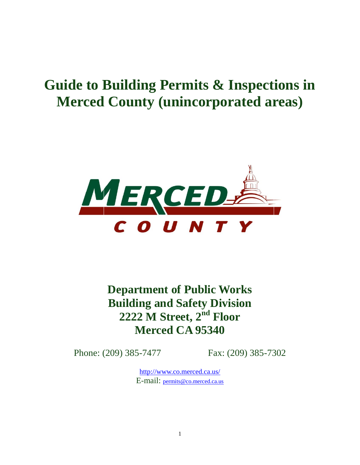## **Guide to Building Permits & Inspections in Merced County (unincorporated areas)**



**Department of Public Works Building and Safety Division 2222 M Street, 2nd Floor Merced CA 95340**

Phone: (209) 385-7477 Fax: (209) 385-7302

<http://www.co.merced.ca.us/> E-mail: [permits@co.merced.ca.us](mailto:permits@co.merced.ca.us)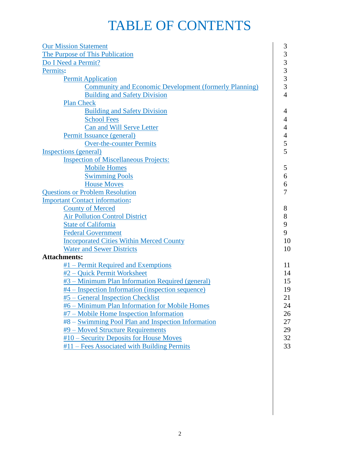## TABLE OF CONTENTS

| 3<br>The Purpose of This Publication<br>3<br>Do I Need a Permit?<br>$\frac{3}{3}$<br>Permits:<br><b>Permit Application</b><br>$\overline{3}$<br><b>Community and Economic Development (formerly Planning)</b><br>$\overline{4}$<br><b>Building and Safety Division</b><br><b>Plan Check</b><br><b>Building and Safety Division</b><br>4<br><b>School Fees</b><br>4<br><b>Can and Will Serve Letter</b><br>4<br>Permit Issuance (general)<br>4<br>5<br><b>Over-the-counter Permits</b><br>5<br><b>Inspection of Miscellaneous Projects:</b><br><b>Mobile Homes</b><br>5<br><b>Swimming Pools</b><br>6<br><b>House Moves</b><br>6<br><b>Questions or Problem Resolution</b><br>7<br><b>County of Merced</b><br>8<br><b>Air Pollution Control District</b><br>8<br>9<br><b>State of California</b><br>9<br><b>Federal Government</b><br><b>Incorporated Cities Within Merced County</b><br>10<br>10<br><b>Water and Sewer Districts</b><br>$#1$ – Permit Required and Exemptions<br>11<br>#2 - Quick Permit Worksheet<br>14<br>#3 – Minimum Plan Information Required (general)<br>15<br>#4 – Inspection Information (inspection sequence)<br>19<br>21<br>#5 – General Inspection Checklist | <b>Our Mission Statement</b>                   | 3  |  |  |  |
|------------------------------------------------------------------------------------------------------------------------------------------------------------------------------------------------------------------------------------------------------------------------------------------------------------------------------------------------------------------------------------------------------------------------------------------------------------------------------------------------------------------------------------------------------------------------------------------------------------------------------------------------------------------------------------------------------------------------------------------------------------------------------------------------------------------------------------------------------------------------------------------------------------------------------------------------------------------------------------------------------------------------------------------------------------------------------------------------------------------------------------------------------------------------------------------|------------------------------------------------|----|--|--|--|
|                                                                                                                                                                                                                                                                                                                                                                                                                                                                                                                                                                                                                                                                                                                                                                                                                                                                                                                                                                                                                                                                                                                                                                                          |                                                |    |  |  |  |
|                                                                                                                                                                                                                                                                                                                                                                                                                                                                                                                                                                                                                                                                                                                                                                                                                                                                                                                                                                                                                                                                                                                                                                                          |                                                |    |  |  |  |
|                                                                                                                                                                                                                                                                                                                                                                                                                                                                                                                                                                                                                                                                                                                                                                                                                                                                                                                                                                                                                                                                                                                                                                                          |                                                |    |  |  |  |
|                                                                                                                                                                                                                                                                                                                                                                                                                                                                                                                                                                                                                                                                                                                                                                                                                                                                                                                                                                                                                                                                                                                                                                                          |                                                |    |  |  |  |
|                                                                                                                                                                                                                                                                                                                                                                                                                                                                                                                                                                                                                                                                                                                                                                                                                                                                                                                                                                                                                                                                                                                                                                                          |                                                |    |  |  |  |
|                                                                                                                                                                                                                                                                                                                                                                                                                                                                                                                                                                                                                                                                                                                                                                                                                                                                                                                                                                                                                                                                                                                                                                                          |                                                |    |  |  |  |
|                                                                                                                                                                                                                                                                                                                                                                                                                                                                                                                                                                                                                                                                                                                                                                                                                                                                                                                                                                                                                                                                                                                                                                                          |                                                |    |  |  |  |
|                                                                                                                                                                                                                                                                                                                                                                                                                                                                                                                                                                                                                                                                                                                                                                                                                                                                                                                                                                                                                                                                                                                                                                                          |                                                |    |  |  |  |
|                                                                                                                                                                                                                                                                                                                                                                                                                                                                                                                                                                                                                                                                                                                                                                                                                                                                                                                                                                                                                                                                                                                                                                                          |                                                |    |  |  |  |
|                                                                                                                                                                                                                                                                                                                                                                                                                                                                                                                                                                                                                                                                                                                                                                                                                                                                                                                                                                                                                                                                                                                                                                                          |                                                |    |  |  |  |
|                                                                                                                                                                                                                                                                                                                                                                                                                                                                                                                                                                                                                                                                                                                                                                                                                                                                                                                                                                                                                                                                                                                                                                                          |                                                |    |  |  |  |
|                                                                                                                                                                                                                                                                                                                                                                                                                                                                                                                                                                                                                                                                                                                                                                                                                                                                                                                                                                                                                                                                                                                                                                                          |                                                |    |  |  |  |
|                                                                                                                                                                                                                                                                                                                                                                                                                                                                                                                                                                                                                                                                                                                                                                                                                                                                                                                                                                                                                                                                                                                                                                                          | Inspections (general)                          |    |  |  |  |
|                                                                                                                                                                                                                                                                                                                                                                                                                                                                                                                                                                                                                                                                                                                                                                                                                                                                                                                                                                                                                                                                                                                                                                                          |                                                |    |  |  |  |
|                                                                                                                                                                                                                                                                                                                                                                                                                                                                                                                                                                                                                                                                                                                                                                                                                                                                                                                                                                                                                                                                                                                                                                                          |                                                |    |  |  |  |
|                                                                                                                                                                                                                                                                                                                                                                                                                                                                                                                                                                                                                                                                                                                                                                                                                                                                                                                                                                                                                                                                                                                                                                                          |                                                |    |  |  |  |
|                                                                                                                                                                                                                                                                                                                                                                                                                                                                                                                                                                                                                                                                                                                                                                                                                                                                                                                                                                                                                                                                                                                                                                                          |                                                |    |  |  |  |
|                                                                                                                                                                                                                                                                                                                                                                                                                                                                                                                                                                                                                                                                                                                                                                                                                                                                                                                                                                                                                                                                                                                                                                                          |                                                |    |  |  |  |
|                                                                                                                                                                                                                                                                                                                                                                                                                                                                                                                                                                                                                                                                                                                                                                                                                                                                                                                                                                                                                                                                                                                                                                                          | <b>Important Contact information:</b>          |    |  |  |  |
|                                                                                                                                                                                                                                                                                                                                                                                                                                                                                                                                                                                                                                                                                                                                                                                                                                                                                                                                                                                                                                                                                                                                                                                          |                                                |    |  |  |  |
|                                                                                                                                                                                                                                                                                                                                                                                                                                                                                                                                                                                                                                                                                                                                                                                                                                                                                                                                                                                                                                                                                                                                                                                          |                                                |    |  |  |  |
|                                                                                                                                                                                                                                                                                                                                                                                                                                                                                                                                                                                                                                                                                                                                                                                                                                                                                                                                                                                                                                                                                                                                                                                          |                                                |    |  |  |  |
|                                                                                                                                                                                                                                                                                                                                                                                                                                                                                                                                                                                                                                                                                                                                                                                                                                                                                                                                                                                                                                                                                                                                                                                          |                                                |    |  |  |  |
|                                                                                                                                                                                                                                                                                                                                                                                                                                                                                                                                                                                                                                                                                                                                                                                                                                                                                                                                                                                                                                                                                                                                                                                          |                                                |    |  |  |  |
|                                                                                                                                                                                                                                                                                                                                                                                                                                                                                                                                                                                                                                                                                                                                                                                                                                                                                                                                                                                                                                                                                                                                                                                          |                                                |    |  |  |  |
|                                                                                                                                                                                                                                                                                                                                                                                                                                                                                                                                                                                                                                                                                                                                                                                                                                                                                                                                                                                                                                                                                                                                                                                          | <b>Attachments:</b>                            |    |  |  |  |
|                                                                                                                                                                                                                                                                                                                                                                                                                                                                                                                                                                                                                                                                                                                                                                                                                                                                                                                                                                                                                                                                                                                                                                                          |                                                |    |  |  |  |
|                                                                                                                                                                                                                                                                                                                                                                                                                                                                                                                                                                                                                                                                                                                                                                                                                                                                                                                                                                                                                                                                                                                                                                                          |                                                |    |  |  |  |
|                                                                                                                                                                                                                                                                                                                                                                                                                                                                                                                                                                                                                                                                                                                                                                                                                                                                                                                                                                                                                                                                                                                                                                                          |                                                |    |  |  |  |
|                                                                                                                                                                                                                                                                                                                                                                                                                                                                                                                                                                                                                                                                                                                                                                                                                                                                                                                                                                                                                                                                                                                                                                                          |                                                |    |  |  |  |
|                                                                                                                                                                                                                                                                                                                                                                                                                                                                                                                                                                                                                                                                                                                                                                                                                                                                                                                                                                                                                                                                                                                                                                                          |                                                |    |  |  |  |
|                                                                                                                                                                                                                                                                                                                                                                                                                                                                                                                                                                                                                                                                                                                                                                                                                                                                                                                                                                                                                                                                                                                                                                                          | #6 - Minimum Plan Information for Mobile Homes | 24 |  |  |  |
| #7 – Mobile Home Inspection Information<br>26                                                                                                                                                                                                                                                                                                                                                                                                                                                                                                                                                                                                                                                                                                                                                                                                                                                                                                                                                                                                                                                                                                                                            |                                                |    |  |  |  |
| #8 – Swimming Pool Plan and Inspection Information<br>27                                                                                                                                                                                                                                                                                                                                                                                                                                                                                                                                                                                                                                                                                                                                                                                                                                                                                                                                                                                                                                                                                                                                 |                                                |    |  |  |  |
| #9 – Moved Structure Requirements<br>29                                                                                                                                                                                                                                                                                                                                                                                                                                                                                                                                                                                                                                                                                                                                                                                                                                                                                                                                                                                                                                                                                                                                                  |                                                |    |  |  |  |
| 32<br>#10 – Security Deposits for House Moves                                                                                                                                                                                                                                                                                                                                                                                                                                                                                                                                                                                                                                                                                                                                                                                                                                                                                                                                                                                                                                                                                                                                            |                                                |    |  |  |  |
| 33<br>#11 – Fees Associated with Building Permits                                                                                                                                                                                                                                                                                                                                                                                                                                                                                                                                                                                                                                                                                                                                                                                                                                                                                                                                                                                                                                                                                                                                        |                                                |    |  |  |  |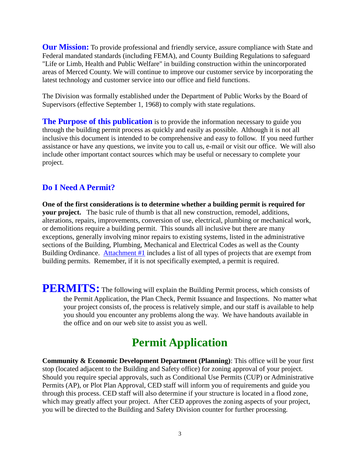**Our Mission:** To provide professional and friendly service, assure compliance with State and Federal mandated standards (including FEMA), and County Building Regulations to safeguard "Life or Limb, Health and Public Welfare" in building construction within the unincorporated areas of Merced County. We will continue to improve our customer service by incorporating the latest technology and customer service into our office and field functions.

The Division was formally established under the Department of Public Works by the Board of Supervisors (effective September 1, 1968) to comply with state regulations.

**The Purpose of this publication** is to provide the information necessary to guide you through the building permit process as quickly and easily as possible. Although it is not all inclusive this document is intended to be comprehensive and easy to follow. If you need further assistance or have any questions, we invite you to call us, e-mail or visit our office. We will also include other important contact sources which may be useful or necessary to complete your project.

### **Do I Need A Permit?**

**One of the first considerations is to determine whether a building permit is required for your project.** The basic rule of thumb is that all new construction, remodel, additions, alterations, repairs, improvements, conversion of use, electrical, plumbing or mechanical work, or demolitions require a building permit. This sounds all inclusive but there are many exceptions, generally involving minor repairs to existing systems, listed in the administrative sections of the Building, Plumbing, Mechanical and Electrical Codes as well as the County Building Ordinance. Attachment #1 includes a list of all types of projects that are exempt from building permits. Remember, if it is not specifically exempted, a permit is required.

**PERMITS:** The following will explain the Building Permit process, which consists of the Permit Application, the Plan Check, Permit Issuance and Inspections. No matter what your project consists of, the process is relatively simple, and our staff is available to help you should you encounter any problems along the way. We have handouts available in the office and on our web site to assist you as well.

## **Permit Application**

**Community & Economic Development Department (Planning)**: This office will be your first stop (located adjacent to the Building and Safety office) for zoning approval of your project. Should you require special approvals, such as Conditional Use Permits (CUP) or Administrative Permits (AP), or Plot Plan Approval, CED staff will inform you of requirements and guide you through this process. CED staff will also determine if your structure is located in a flood zone, which may greatly affect your project. After CED approves the zoning aspects of your project, you will be directed to the Building and Safety Division counter for further processing.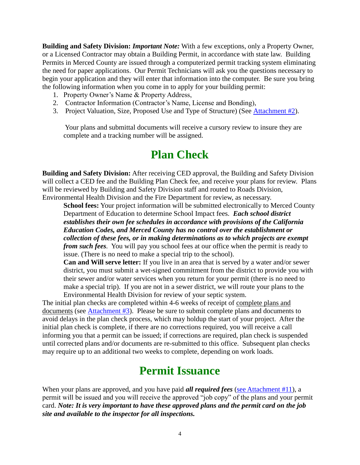**Building and Safety Division:** *Important Note:* With a few exceptions, only a Property Owner, or a Licensed Contractor may obtain a Building Permit, in accordance with state law. Building Permits in Merced County are issued through a computerized permit tracking system eliminating the need for paper applications. Our Permit Technicians will ask you the questions necessary to begin your application and they will enter that information into the computer. Be sure you bring the following information when you come in to apply for your building permit:

- 1. Property Owner's Name & Property Address,
- 2. Contractor Information (Contractor's Name, License and Bonding),
- 3. Project Valuation, Size, Proposed Use and Type of Structure) (See Attachment #2).

Your plans and submittal documents will receive a cursory review to insure they are complete and a tracking number will be assigned.

## **Plan Check**

**Building and Safety Division:** After receiving CED approval, the Building and Safety Division will collect a CED fee and the Building Plan Check fee, and receive your plans for review. Plans will be reviewed by Building and Safety Division staff and routed to Roads Division, Environmental Health Division and the Fire Department for review, as necessary.

 **School fees:** Your project information will be submitted electronically to Merced County Department of Education to determine School Impact fees. *Each school district establishes their own fee schedules in accordance with provisions of the California Education Codes, and Merced County has no control over the establishment or collection of these fees, or in making determinations as to which projects are exempt from such fees.* You will pay you school fees at our office when the permit is ready to issue. (There is no need to make a special trip to the school).

**Can and Will serve letter:** If you live in an area that is served by a water and/or sewer district, you must submit a wet-signed commitment from the district to provide you with their sewer and/or water services when you return for your permit (there is no need to make a special trip). If you are not in a sewer district, we will route your plans to the Environmental Health Division for review of your septic system.

The initial plan checks are completed within 4-6 weeks of receipt of complete plans and documents (see Attachment #3). Please be sure to submit complete plans and documents to avoid delays in the plan check process, which may holdup the start of your project. After the initial plan check is complete, if there are no corrections required, you will receive a call informing you that a permit can be issued; if corrections are required, plan check is suspended until corrected plans and/or documents are re-submitted to this office. Subsequent plan checks may require up to an additional two weeks to complete, depending on work loads.

## **Permit Issuance**

When your plans are approved, and you have paid *all required fees* (see Attachment #11), a permit will be issued and you will receive the approved "job copy" of the plans and your permit card. *Note: It is very important to have these approved plans and the permit card on the job site and available to the inspector for all inspections.*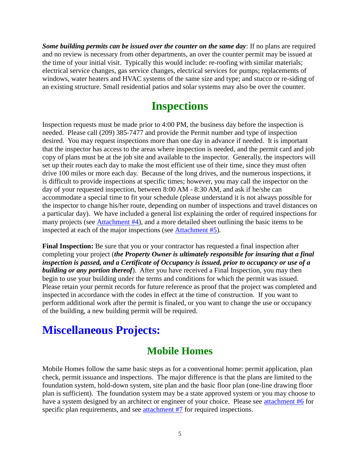*Some building permits can be issued over the counter on the same day*: If no plans are required and no review is necessary from other departments, an over the counter permit may be issued at the time of your initial visit. Typically this would include: re-roofing with similar materials; electrical service changes, gas service changes, electrical services for pumps; replacements of windows, water heaters and HVAC systems of the same size and type; and stucco or re-siding of an existing structure. Small residential patios and solar systems may also be over the counter.

## **Inspections**

Inspection requests must be made prior to 4:00 PM, the business day before the inspection is needed. Please call (209) 385-7477 and provide the Permit number and type of inspection desired. You may request inspections more than one day in advance if needed. It is important that the inspector has access to the areas where inspection is needed, and the permit card and job copy of plans must be at the job site and available to the inspector. Generally, the inspectors will set up their routes each day to make the most efficient use of their time, since they must often drive 100 miles or more each day. Because of the long drives, and the numerous inspections, it is difficult to provide inspections at specific times; however, you may call the inspector on the day of your requested inspection, between 8:00 AM - 8:30 AM, and ask if he/she can accommodate a special time to fit your schedule (please understand it is not always possible for the inspector to change his/her route, depending on number of inspections and travel distances on a particular day). We have included a general list explaining the order of required inspections for many projects (see Attachment #4), and a more detailed sheet outlining the basic items to be inspected at each of the major inspections (see Attachment #5).

**Final Inspection:** Be sure that you or your contractor has requested a final inspection after completing your project (*the Property Owner is ultimately responsible for insuring that a final inspection is passed, and a Certificate of Occupancy is issued, prior to occupancy or use of a building or any portion thereof*). After you have received a Final Inspection, you may then begin to use your building under the terms and conditions for which the permit was issued. Please retain your permit records for future reference as proof that the project was completed and inspected in accordance with the codes in effect at the time of construction. If you want to perform additional work after the permit is finaled, or you want to change the use or occupancy of the building, a new building permit will be required.

## **Miscellaneous Projects:**

## **Mobile Homes**

Mobile Homes follow the same basic steps as for a conventional home: permit application, plan check, permit issuance and inspections. The major difference is that the plans are limited to the foundation system, hold-down system, site plan and the basic floor plan (one-line drawing floor plan is sufficient). The foundation system may be a state approved system or you may choose to have a system designed by an architect or engineer of your choice. Please see attachment #6 for specific plan requirements, and see attachment #7 for required inspections.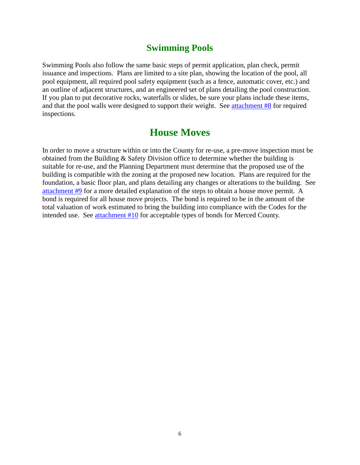### **Swimming Pools**

Swimming Pools also follow the same basic steps of permit application, plan check, permit issuance and inspections. Plans are limited to a site plan, showing the location of the pool, all pool equipment, all required pool safety equipment (such as a fence, automatic cover, etc.) and an outline of adjacent structures, and an engineered set of plans detailing the pool construction. If you plan to put decorative rocks, waterfalls or slides, be sure your plans include these items, and that the pool walls were designed to support their weight. See attachment #8 for required inspections.

## **House Moves**

In order to move a structure within or into the County for re-use, a pre-move inspection must be obtained from the Building & Safety Division office to determine whether the building is suitable for re-use, and the Planning Department must determine that the proposed use of the building is compatible with the zoning at the proposed new location. Plans are required for the foundation, a basic floor plan, and plans detailing any changes or alterations to the building. See attachment #9 for a more detailed explanation of the steps to obtain a house move permit. A bond is required for all house move projects. The bond is required to be in the amount of the total valuation of work estimated to bring the building into compliance with the Codes for the intended use. See attachment #10 for acceptable types of bonds for Merced County.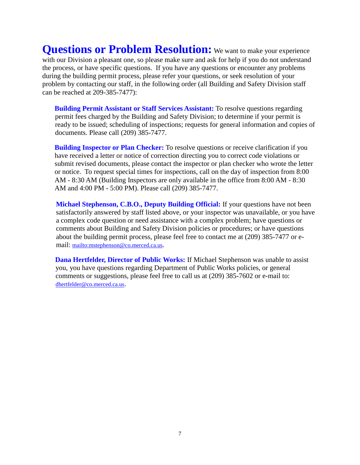**Questions or Problem Resolution:** We want to make your experience with our Division a pleasant one, so please make sure and ask for help if you do not understand the process, or have specific questions. If you have any questions or encounter any problems during the building permit process, please refer your questions, or seek resolution of your problem by contacting our staff, in the following order (all Building and Safety Division staff can be reached at 209-385-7477):

**Building Permit Assistant or Staff Services Assistant:** To resolve questions regarding permit fees charged by the Building and Safety Division; to determine if your permit is ready to be issued; scheduling of inspections; requests for general information and copies of documents. Please call (209) 385-7477.

**Building Inspector or Plan Checker:** To resolve questions or receive clarification if you have received a letter or notice of correction directing you to correct code violations or submit revised documents, please contact the inspector or plan checker who wrote the letter or notice. To request special times for inspections, call on the day of inspection from 8:00 AM - 8:30 AM (Building Inspectors are only available in the office from 8:00 AM - 8:30 AM and 4:00 PM - 5:00 PM). Please call (209) 385-7477.

**Michael Stephenson, C.B.O., Deputy Building Official:** If your questions have not been satisfactorily answered by staff listed above, or your inspector was unavailable, or you have a complex code question or need assistance with a complex problem; have questions or comments about Building and Safety Division policies or procedures; or have questions about the building permit process, please feel free to contact me at (209) 385-7477 or email: <mailto:mstephenson@co.merced.ca.us>.

**Dana Hertfelder, Director of Public Works:** If Michael Stephenson was unable to assist you, you have questions regarding Department of Public Works policies, or general comments or suggestions, please feel free to call us at (209) 385-7602 or e-mail to: [dhertfelder@co.merced.ca.us](mailto:dhertfelder@co.merced.ca.us).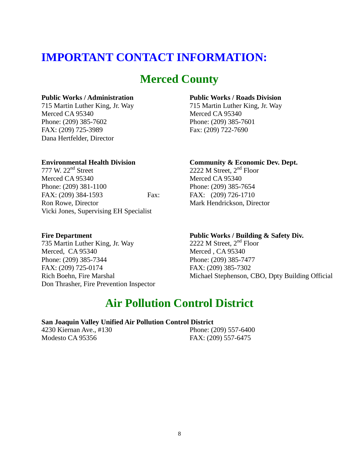## **IMPORTANT CONTACT INFORMATION:**

## **Merced County**

#### **Public Works / Administration Public Works / Roads Division**

Merced CA 95340 Merced CA 95340 Phone: (209) 385-7602 Phone: (209) 385-7601 FAX: (209) 725-3989 Fax: (209) 722-7690 Dana Hertfelder, Director

**Environmental Health Division Community & Economic Dev. Dept.**<br>
777 W. 22<sup>nd</sup> Street 2222 M Street, 2<sup>nd</sup> Floor Merced CA 95340<br>
Phone: (209) 381-1100<br>
Phone: (209) 385-7654 Phone: (209) 381-1100 FAX: (209) 384-1593 Fax: FAX: (209) 726-1710 Ron Rowe, Director Mark Hendrickson, Director Vicki Jones, Supervising EH Specialist

715 Martin Luther King, Jr. Way 715 Martin Luther King, Jr. Way

2222 M Street,  $2<sup>nd</sup>$  Floor

735 Martin Luther King, Jr. Way Merced, CA 95340 Merced, CA 95340 Phone: (209) 385-7344 Phone: (209) 385-7477 FAX: (209) 725-0174 FAX: (209) 385-7302 Don Thrasher, Fire Prevention Inspector

## **Fire Department Public Works / Building & Safety Div.**<br>
735 Martin Luther King, Jr. Way 2222 M Street, 2<sup>nd</sup> Floor

Rich Boehn, Fire Marshal Michael Stephenson, CBO, Dpty Building Official

## **Air Pollution Control District**

#### **San Joaquin Valley Unified Air Pollution Control District**

4230 Kiernan Ave., #130 Phone: (209) 557-6400 Modesto CA 95356 FAX: (209) 557-6475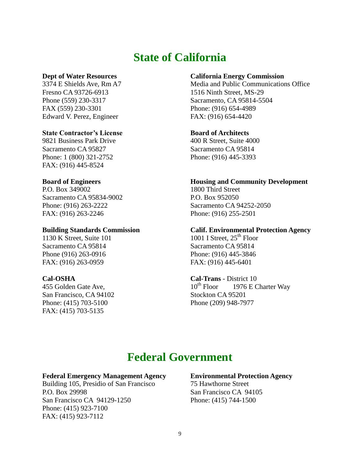## **State of California**

Fresno CA 93726-6913 1516 Ninth Street, MS-29 FAX (559) 230-3301 Phone: (916) 654-4989 Edward V. Perez, Engineer FAX: (916) 654-4420

#### **State Contractor's License Board of Architects**

9821 Business Park Drive 400 R Street, Suite 4000 Sacramento CA 95827 Sacramento CA 95814 Phone: 1 (800) 321-2752 Phone: (916) 445-3393 FAX: (916) 445-8524

P.O. Box 349002 1800 Third Street Sacramento CA 95834-9002 P.O. Box 952050 FAX: (916) 263-2246 Phone: (916) 255-2501

1130 K Street, Suite 101 1001 I Street,  $25<sup>th</sup>$  Floor Sacramento CA 95814 Sacramento CA 95814 Phone (916) 263-0916 Phone: (916) 445-3846 FAX: (916) 263-0959 FAX: (916) 445-6401

San Francisco, CA 94102 Stockton CA 95201 Phone: (415) 703-5100 Phone (209) 948-7977 FAX: (415) 703-5135

#### **Dept of Water Resources California Energy Commission**

3374 E Shields Ave, Rm A7 Media and Public Communications Office Phone (559) 230-3317 Sacramento, CA 95814-5504

#### **Board of Engineers Housing and Community Development**

Phone: (916) 263-2222 Sacramento CA 94252-2050

#### **Building Standards Commission Calif. Environmental Protection Agency**

#### **Cal-OSHA Cal-Trans** - District 10 455 Golden Gate Ave,  $10^{th}$  Floor  $1976$  E Charter Way

## **Federal Government**

#### **Federal Emergency Management Agency Environmental Protection Agency**

Building 105, Presidio of San Francisco 75 Hawthorne Street P.O. Box 29998 San Francisco CA 94105 San Francisco CA 94129-1250 Phone: (415) 744-1500 Phone: (415) 923-7100 FAX: (415) 923-7112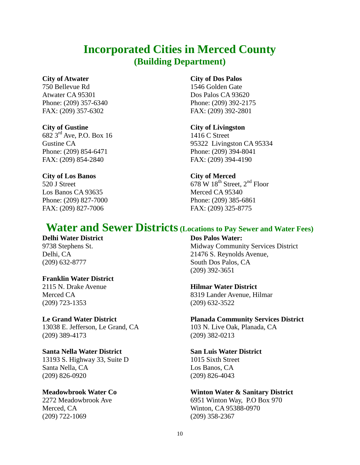## **Incorporated Cities in Merced County (Building Department)**

750 Bellevue Rd 1546 Golden Gate Atwater CA 95301 Dos Palos CA 93620 Phone: (209) 357-6340 Phone: (209) 392-2175 FAX: (209) 357-6302 FAX: (209) 392-2801

 $682 \, 3^{\text{rd}}$  Ave, P.O. Box 16 1416 C Street Phone: (209) 854-6471 Phone: (209) 394-8041 FAX: (209) 854-2840 FAX: (209) 394-4190

#### **City of Los Banos City of Merced**

Los Banos CA 93635 Merced CA 95340 FAX: (209) 827-7006 FAX: (209) 325-8775

#### **City of Atwater City of Dos Palos**

#### **City of Gustine City of Livingston**

Gustine CA 95322 Livingston CA 95334

 $520$  J Street 678 W 18<sup>th</sup> Street, 2<sup>nd</sup> Floor Phone: (209) 827-7000 Phone: (209) 385-6861

## **Water and Sewer Districts(Locations to Pay Sewer and Water Fees)**

#### **Delhi Water District Dos Palos Water:**

#### **Franklin Water District**

(209) 723-1353 (209) 632-3522

13038 E. Jefferson, Le Grand, CA 103 N. Live Oak, Planada, CA (209) 389-4173 (209) 382-0213

#### **Santa Nella Water District San Luis Water District**

13193 S. Highway 33, Suite D 1015 Sixth Street Santa Nella, CA Los Banos, CA (209) 826-0920 (209) 826-4043

# Merced, CA Winton, CA 95388-0970

9738 Stephens St. Midway Community Services District Delhi, CA 21476 S. Reynolds Avenue, (209) 632-8777 South Dos Palos, CA (209) 392-3651

#### 2115 N. Drake Avenue **Hilmar Water District**

Merced CA 8319 Lander Avenue, Hilmar

### **Le Grand Water District Planada Community Services District**

### **Meadowbrook Water Co Winton Water & Sanitary District**

2272 Meadowbrook Ave 6951 Winton Way, P.O Box 970 (209) 722-1069 (209) 358-2367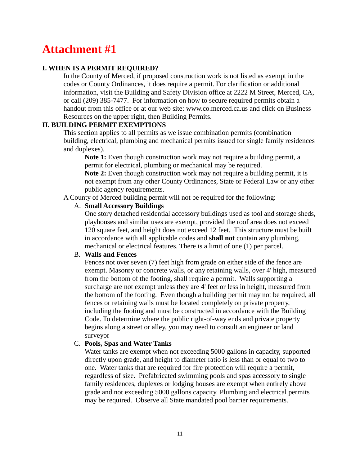#### **I. WHEN IS A PERMIT REQUIRED?**

In the County of Merced, if proposed construction work is not listed as exempt in the codes or County Ordinances, it does require a permit. For clarification or additional information, visit the Building and Safety Division office at 2222 M Street, Merced, CA, or call (209) 385-7477. For information on how to secure required permits obtain a handout from this office or at our web site: www.co.merced.ca.us and click on Business Resources on the upper right, then Building Permits.

#### **II. BUILDING PERMIT EXEMPTIONS**

This section applies to all permits as we issue combination permits (combination building, electrical, plumbing and mechanical permits issued for single family residences and duplexes).

**Note 1:** Even though construction work may not require a building permit, a permit for electrical, plumbing or mechanical may be required.

**Note 2:** Even though construction work may not require a building permit, it is not exempt from any other County Ordinances, State or Federal Law or any other public agency requirements.

A County of Merced building permit will not be required for the following:

#### A. **Small Accessory Buildings**

One story detached residential accessory buildings used as tool and storage sheds, playhouses and similar uses are exempt, provided the roof area does not exceed 120 square feet, and height does not exceed 12 feet. This structure must be built in accordance with all applicable codes and **shall not** contain any plumbing, mechanical or electrical features. There is a limit of one (1) per parcel.

#### B. **Walls and Fences**

Fences not over seven (7) feet high from grade on either side of the fence are exempt. Masonry or concrete walls, or any retaining walls, over 4' high, measured from the bottom of the footing, shall require a permit. Walls supporting a surcharge are not exempt unless they are 4' feet or less in height, measured from the bottom of the footing. Even though a building permit may not be required, all fences or retaining walls must be located completely on private property, including the footing and must be constructed in accordance with the Building Code. To determine where the public right-of-way ends and private property begins along a street or alley, you may need to consult an engineer or land surveyor

#### C. **Pools, Spas and Water Tanks**

Water tanks are exempt when not exceeding 5000 gallons in capacity, supported directly upon grade, and height to diameter ratio is less than or equal to two to one. Water tanks that are required for fire protection will require a permit, regardless of size. Prefabricated swimming pools and spas accessory to single family residences, duplexes or lodging houses are exempt when entirely above grade and not exceeding 5000 gallons capacity. Plumbing and electrical permits may be required. Observe all State mandated pool barrier requirements.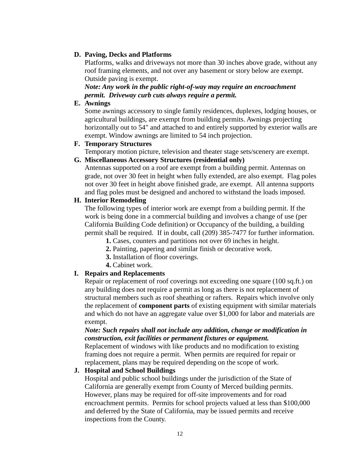#### **D. Paving, Decks and Platforms**

Platforms, walks and driveways not more than 30 inches above grade, without any roof framing elements, and not over any basement or story below are exempt. Outside paving is exempt.

*Note: Any work in the public right-of-way may require an encroachment permit. Driveway curb cuts always require a permit.*

#### **E. Awnings**

Some awnings accessory to single family residences, duplexes, lodging houses, or agricultural buildings, are exempt from building permits. Awnings projecting horizontally out to 54" and attached to and entirely supported by exterior walls are exempt. Window awnings are limited to 54 inch projection.

#### **F. Temporary Structures**

Temporary motion picture, television and theater stage sets/scenery are exempt.

#### **G. Miscellaneous Accessory Structures (residential only)**

Antennas supported on a roof are exempt from a building permit. Antennas on grade, not over 30 feet in height when fully extended, are also exempt. Flag poles not over 30 feet in height above finished grade, are exempt. All antenna supports and flag poles must be designed and anchored to withstand the loads imposed.

#### **H. Interior Remodeling**

The following types of interior work are exempt from a building permit. If the work is being done in a commercial building and involves a change of use (per California Building Code definition) or Occupancy of the building, a building permit shall be required. If in doubt, call (209) 385-7477 for further information.

- **1.** Cases, counters and partitions not over 69 inches in height.
- **2.** Painting, papering and similar finish or decorative work.
- **3.** Installation of floor coverings.
- **4.** Cabinet work.

#### **I. Repairs and Replacements**

Repair or replacement of roof coverings not exceeding one square (100 sq.ft.) on any building does not require a permit as long as there is not replacement of structural members such as roof sheathing or rafters. Repairs which involve only the replacement of **component parts** of existing equipment with similar materials and which do not have an aggregate value over \$1,000 for labor and materials are exempt.

#### *Note: Such repairs shall not include any addition, change or modification in construction, exit facilities or permanent fixtures or equipment.*

Replacement of windows with like products and no modification to existing framing does not require a permit. When permits are required for repair or replacement, plans may be required depending on the scope of work.

#### **J. Hospital and School Buildings**

Hospital and public school buildings under the jurisdiction of the State of California are generally exempt from County of Merced building permits. However, plans may be required for off-site improvements and for road encroachment permits. Permits for school projects valued at less than \$100,000 and deferred by the State of California, may be issued permits and receive inspections from the County.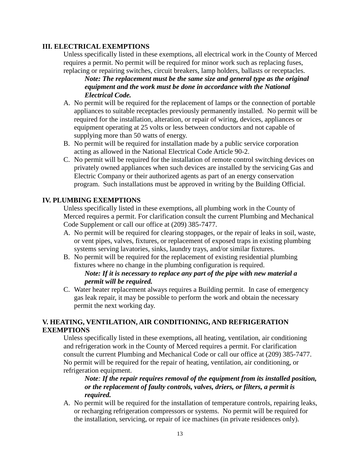#### **III. ELECTRICAL EXEMPTIONS**

Unless specifically listed in these exemptions, all electrical work in the County of Merced requires a permit. No permit will be required for minor work such as replacing fuses, replacing or repairing switches, circuit breakers, lamp holders, ballasts or receptacles.

*Note: The replacement must be the same size and general type as the original equipment and the work must be done in accordance with the National Electrical Code.*

- A. No permit will be required for the replacement of lamps or the connection of portable appliances to suitable receptacles previously permanently installed. No permit will be required for the installation, alteration, or repair of wiring, devices, appliances or equipment operating at 25 volts or less between conductors and not capable of supplying more than 50 watts of energy.
- B. No permit will be required for installation made by a public service corporation acting as allowed in the National Electrical Code Article 90-2.
- C. No permit will be required for the installation of remote control switching devices on privately owned appliances when such devices are installed by the servicing Gas and Electric Company or their authorized agents as part of an energy conservation program. Such installations must be approved in writing by the Building Official.

### **IV. PLUMBING EXEMPTIONS**

Unless specifically listed in these exemptions, all plumbing work in the County of Merced requires a permit. For clarification consult the current Plumbing and Mechanical Code Supplement or call our office at (209) 385-7477.

- A. No permit will be required for clearing stoppages, or the repair of leaks in soil, waste, or vent pipes, valves, fixtures, or replacement of exposed traps in existing plumbing systems serving lavatories, sinks, laundry trays, and/or similar fixtures.
- B. No permit will be required for the replacement of existing residential plumbing fixtures where no change in the plumbing configuration is required.

#### *Note: If it is necessary to replace any part of the pipe with new material a permit will be required.*

C. Water heater replacement always requires a Building permit. In case of emergency gas leak repair, it may be possible to perform the work and obtain the necessary permit the next working day.

### **V. HEATING, VENTILATION, AIR CONDITIONING, AND REFRIGERATION EXEMPTIONS**

Unless specifically listed in these exemptions, all heating, ventilation, air conditioning and refrigeration work in the County of Merced requires a permit. For clarification consult the current Plumbing and Mechanical Code or call our office at (209) 385-7477. No permit will be required for the repair of heating, ventilation, air conditioning, or refrigeration equipment.

*Note: If the repair requires removal of the equipment from its installed position, or the replacement of faulty controls, valves, driers, or filters, a permit is required.*

A. No permit will be required for the installation of temperature controls, repairing leaks, or recharging refrigeration compressors or systems. No permit will be required for the installation, servicing, or repair of ice machines (in private residences only).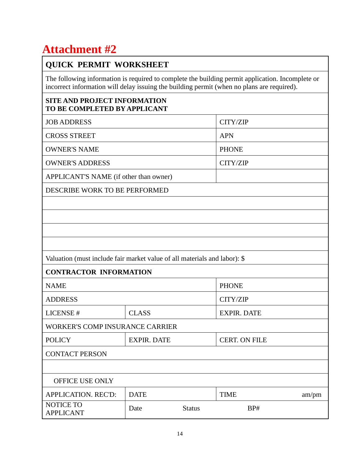### **QUICK PERMIT WORKSHEET**

The following information is required to complete the building permit application. Incomplete or incorrect information will delay issuing the building permit (when no plans are required).

### **SITE AND PROJECT INFORMATION TO BE COMPLETED BY APPLICANT**

| <b>JOB ADDRESS</b>                                                        |                    |               | CITY/ZIP             |       |  |  |
|---------------------------------------------------------------------------|--------------------|---------------|----------------------|-------|--|--|
| <b>CROSS STREET</b>                                                       |                    |               | <b>APN</b>           |       |  |  |
| <b>OWNER'S NAME</b>                                                       |                    |               | <b>PHONE</b>         |       |  |  |
| <b>OWNER'S ADDRESS</b>                                                    |                    |               | CITY/ZIP             |       |  |  |
| APPLICANT'S NAME (if other than owner)                                    |                    |               |                      |       |  |  |
| DESCRIBE WORK TO BE PERFORMED                                             |                    |               |                      |       |  |  |
|                                                                           |                    |               |                      |       |  |  |
|                                                                           |                    |               |                      |       |  |  |
|                                                                           |                    |               |                      |       |  |  |
|                                                                           |                    |               |                      |       |  |  |
| Valuation (must include fair market value of all materials and labor): \$ |                    |               |                      |       |  |  |
| <b>CONTRACTOR INFORMATION</b>                                             |                    |               |                      |       |  |  |
| <b>NAME</b>                                                               |                    |               | <b>PHONE</b>         |       |  |  |
| <b>ADDRESS</b>                                                            |                    |               | CITY/ZIP             |       |  |  |
| LICENSE #                                                                 | <b>CLASS</b>       |               | <b>EXPIR. DATE</b>   |       |  |  |
| <b>WORKER'S COMP INSURANCE CARRIER</b>                                    |                    |               |                      |       |  |  |
| <b>POLICY</b>                                                             | <b>EXPIR. DATE</b> |               | <b>CERT. ON FILE</b> |       |  |  |
| <b>CONTACT PERSON</b>                                                     |                    |               |                      |       |  |  |
|                                                                           |                    |               |                      |       |  |  |
| OFFICE USE ONLY                                                           |                    |               |                      |       |  |  |
| APPLICATION. REC'D:                                                       | <b>DATE</b>        |               | <b>TIME</b>          | am/pm |  |  |
| NOTICE TO<br><b>APPLICANT</b>                                             | Date               | <b>Status</b> | BP#                  |       |  |  |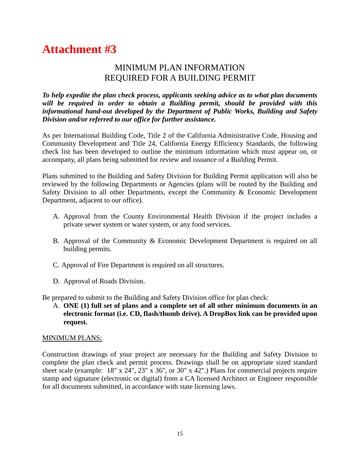### MINIMUM PLAN INFORMATION REQUIRED FOR A BUILDING PERMIT

*To help expedite the plan check process, applicants seeking advice as to what plan documents will be required in order to obtain a Building permit, should be provided with this informational hand-out developed by the Department of Public Works, Building and Safety Division and/or referred to our office for further assistance.*

As per International Building Code, Title 2 of the California Administrative Code, Housing and Community Development and Title 24, California Energy Efficiency Standards, the following check list has been developed to outline the minimum information which must appear on, or accompany, all plans being submitted for review and issuance of a Building Permit.

Plans submitted to the Building and Safety Division for Building Permit application will also be reviewed by the following Departments or Agencies (plans will be routed by the Building and Safety Division to all other Departments, except the Community & Economic Development Department, adjacent to our office).

- A. Approval from the County Environmental Health Division if the project includes a private sewer system or water system, or any food services.
- B. Approval of the Community & Economic Development Department is required on all building permits.
- C. Approval of Fire Department is required on all structures.
- D. Approval of Roads Division.

Be prepared to submit to the Building and Safety Division office for plan check:

A. **ONE (1) full set of plans and a complete set of all other minimum documents in an electronic format (i.e. CD, flash/thumb drive). A DropBox link can be provided upon request.**

#### MINIMUM PLANS:

Construction drawings of your project are necessary for the Building and Safety Division to complete the plan check and permit process. Drawings shall be on appropriate sized standard sheet scale (example: 18" x 24", 23" x 36", or 30" x 42".) Plans for commercial projects require stamp and signature (electronic or digital) from a CA licensed Architect or Engineer responsible for all documents submitted, in accordance with state licensing laws.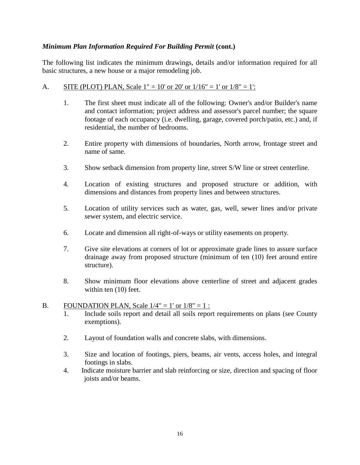#### *Minimum Plan Information Required For Building Permit* **(cont.)**

The following list indicates the minimum drawings, details and/or information required for all basic structures, a new house or a major remodeling job.

#### A. SITE (PLOT) PLAN, Scale  $1'' = 10'$  or  $20'$  or  $1/16'' = 1'$  or  $1/8'' = 1'$ :

- 1. The first sheet must indicate all of the following: Owner's and/or Builder's name and contact information; project address and assessor's parcel number; the square footage of each occupancy (i.e. dwelling, garage, covered porch/patio, etc.) and, if residential, the number of bedrooms.
- 2. Entire property with dimensions of boundaries, North arrow, frontage street and name of same.
- 3. Show setback dimension from property line, street S/W line or street centerline.
- 4. Location of existing structures and proposed structure or addition, with dimensions and distances from property lines and between structures.
- 5. Location of utility services such as water, gas, well, sewer lines and/or private sewer system, and electric service.
- 6. Locate and dimension all right-of-ways or utility easements on property.
- 7. Give site elevations at corners of lot or approximate grade lines to assure surface drainage away from proposed structure (minimum of ten (10) feet around entire structure).
- 8. Show minimum floor elevations above centerline of street and adjacent grades within ten (10) feet.

#### B. FOUNDATION PLAN, Scale  $1/4" = 1'$  or  $1/8" = 1$ :

- 1. Include soils report and detail all soils report requirements on plans (see County exemptions).
- 2. Layout of foundation walls and concrete slabs, with dimensions.
- 3. Size and location of footings, piers, beams, air vents, access holes, and integral footings in slabs.
- 4. Indicate moisture barrier and slab reinforcing or size, direction and spacing of floor joists and/or beams.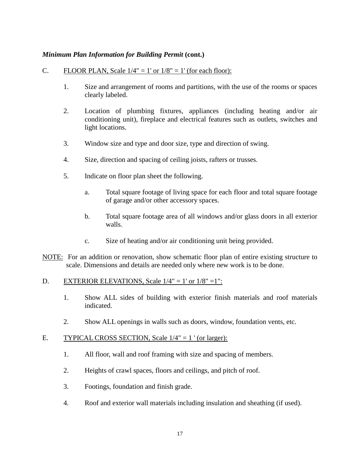#### *Minimum Plan Information for Building Permit* (cont.)

#### C. FLOOR PLAN, Scale  $1/4" = 1'$  or  $1/8" = 1'$  (for each floor):

- 1. Size and arrangement of rooms and partitions, with the use of the rooms or spaces clearly labeled.
- 2. Location of plumbing fixtures, appliances (including heating and/or air conditioning unit), fireplace and electrical features such as outlets, switches and light locations.
- 3. Window size and type and door size, type and direction of swing.
- 4. Size, direction and spacing of ceiling joists, rafters or trusses.
- 5. Indicate on floor plan sheet the following.
	- a. Total square footage of living space for each floor and total square footage of garage and/or other accessory spaces.
	- b. Total square footage area of all windows and/or glass doors in all exterior walls.
	- c. Size of heating and/or air conditioning unit being provided.
- NOTE: For an addition or renovation, show schematic floor plan of entire existing structure to scale. Dimensions and details are needed only where new work is to be done.

#### D. EXTERIOR ELEVATIONS, Scale  $1/4" = 1'$  or  $1/8" = 1"$ :

- 1. Show ALL sides of building with exterior finish materials and roof materials indicated.
- 2. Show ALL openings in walls such as doors, window, foundation vents, etc.

#### E. TYPICAL CROSS SECTION, Scale  $1/4" = 1'$  (or larger):

- 1. All floor, wall and roof framing with size and spacing of members.
- 2. Heights of crawl spaces, floors and ceilings, and pitch of roof.
- 3. Footings, foundation and finish grade.
- 4. Roof and exterior wall materials including insulation and sheathing (if used).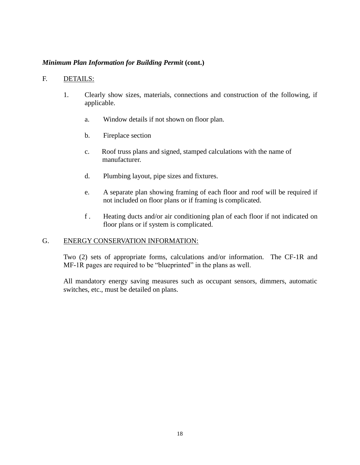#### *Minimum Plan Information for Building Permit* **(cont.)**

#### F. DETAILS:

- 1. Clearly show sizes, materials, connections and construction of the following, if applicable.
	- a. Window details if not shown on floor plan.
	- b. Fireplace section
	- c. Roof truss plans and signed, stamped calculations with the name of manufacturer.
	- d. Plumbing layout, pipe sizes and fixtures.
	- e. A separate plan showing framing of each floor and roof will be required if not included on floor plans or if framing is complicated.
	- f . Heating ducts and/or air conditioning plan of each floor if not indicated on floor plans or if system is complicated.

#### G. ENERGY CONSERVATION INFORMATION:

Two (2) sets of appropriate forms, calculations and/or information. The CF-1R and MF-1R pages are required to be "blueprinted" in the plans as well.

All mandatory energy saving measures such as occupant sensors, dimmers, automatic switches, etc., must be detailed on plans.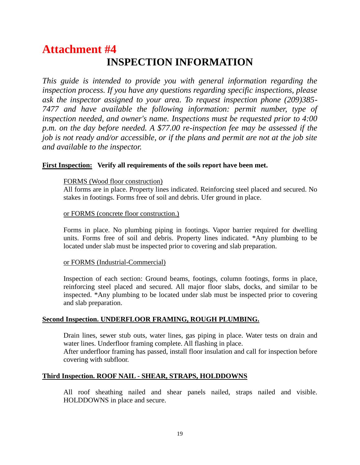## **Attachment #4 INSPECTION INFORMATION**

*This guide is intended to provide you with general information regarding the inspection process. If you have any questions regarding specific inspections, please ask the inspector assigned to your area. To request inspection phone (209)385- 7477 and have available the following information: permit number, type of inspection needed, and owner's name. Inspections must be requested prior to 4:00 p.m. on the day before needed. A \$77.00 re-inspection fee may be assessed if the job is not ready and/or accessible, or if the plans and permit are not at the job site and available to the inspector.*

#### **First Inspection: Verify all requirements of the soils report have been met.**

#### FORMS (Wood floor construction)

All forms are in place. Property lines indicated. Reinforcing steel placed and secured. No stakes in footings. Forms free of soil and debris. Ufer ground in place.

#### or FORMS (concrete floor construction.)

Forms in place. No plumbing piping in footings. Vapor barrier required for dwelling units. Forms free of soil and debris. Property lines indicated. \*Any plumbing to be located under slab must be inspected prior to covering and slab preparation.

#### or FORMS (Industrial-Commercial)

Inspection of each section: Ground beams, footings, column footings, forms in place, reinforcing steel placed and secured. All major floor slabs, docks, and similar to be inspected. \*Any plumbing to be located under slab must be inspected prior to covering and slab preparation.

#### **Second Inspection. UNDERFLOOR FRAMING, ROUGH PLUMBING.**

Drain lines, sewer stub outs, water lines, gas piping in place. Water tests on drain and water lines. Underfloor framing complete. All flashing in place. After underfloor framing has passed, install floor insulation and call for inspection before covering with subfloor.

#### **Third Inspection. ROOF NAIL - SHEAR, STRAPS, HOLDDOWNS**

All roof sheathing nailed and shear panels nailed, straps nailed and visible. HOLDDOWNS in place and secure.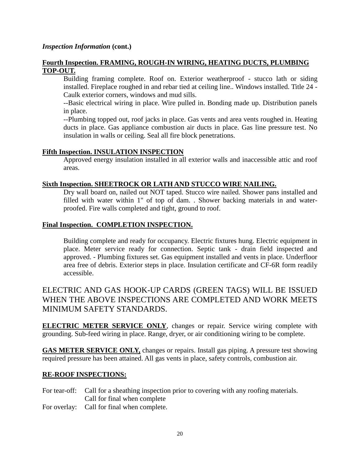#### *Inspection Information* **(cont.)**

#### **Fourth Inspection. FRAMING, ROUGH-IN WIRING, HEATING DUCTS, PLUMBING TOP-OUT.**

Building framing complete. Roof on. Exterior weatherproof - stucco lath or siding installed. Fireplace roughed in and rebar tied at ceiling line.. Windows installed. Title 24 - Caulk exterior corners, windows and mud sills.

--Basic electrical wiring in place. Wire pulled in. Bonding made up. Distribution panels in place.

--Plumbing topped out, roof jacks in place. Gas vents and area vents roughed in. Heating ducts in place. Gas appliance combustion air ducts in place. Gas line pressure test. No insulation in walls or ceiling. Seal all fire block penetrations.

#### **Fifth Inspection. INSULATION INSPECTION**

Approved energy insulation installed in all exterior walls and inaccessible attic and roof areas.

#### **Sixth Inspection. SHEETROCK OR LATH AND STUCCO WIRE NAILING.**

Dry wall board on, nailed out NOT taped. Stucco wire nailed. Shower pans installed and filled with water within 1" of top of dam. . Shower backing materials in and waterproofed. Fire walls completed and tight, ground to roof.

#### **Final Inspection. COMPLETION INSPECTION.**

Building complete and ready for occupancy. Electric fixtures hung. Electric equipment in place. Meter service ready for connection. Septic tank - drain field inspected and approved. - Plumbing fixtures set. Gas equipment installed and vents in place. Underfloor area free of debris. Exterior steps in place. Insulation certificate and CF-6R form readily accessible.

ELECTRIC AND GAS HOOK-UP CARDS (GREEN TAGS) WILL BE ISSUED WHEN THE ABOVE INSPECTIONS ARE COMPLETED AND WORK MEETS MINIMUM SAFETY STANDARDS.

**ELECTRIC METER SERVICE ONLY**, changes or repair. Service wiring complete with grounding. Sub-feed wiring in place. Range, dryer, or air conditioning wiring to be complete.

**GAS METER SERVICE ONLY,** changes or repairs. Install gas piping. A pressure test showing required pressure has been attained. All gas vents in place, safety controls, combustion air.

#### **RE-ROOF INSPECTIONS:**

For tear-off: Call for a sheathing inspection prior to covering with any roofing materials. Call for final when complete

For overlay: Call for final when complete.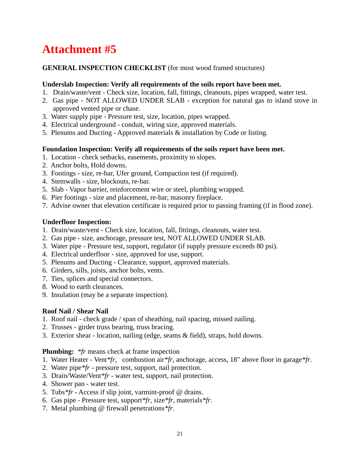#### **GENERAL INSPECTION CHECKLIST** (for most wood framed structures)

#### **Underslab Inspection: Verify all requirements of the soils report have been met.**

- 1. Drain/waste/vent Check size, location, fall, fittings, cleanouts, pipes wrapped, water test.
- 2. Gas pipe NOT ALLOWED UNDER SLAB exception for natural gas to island stove in approved vented pipe or chase.
- 3. Water supply pipe Pressure test, size, location, pipes wrapped.
- 4. Electrical underground conduit, wiring size, approved materials.
- 5. Plenums and Ducting Approved materials & installation by Code or listing.

#### **Foundation Inspection: Verify all requirements of the soils report have been met.**

- 1. Location check setbacks, easements, proximity to slopes.
- 2. Anchor bolts, Hold downs.
- 3. Footings size, re-bar, Ufer ground, Compaction test (if required).
- 4. Stemwalls size, blockouts, re-bar.
- 5. Slab Vapor barrier, reinforcement wire or steel, plumbing wrapped.
- 6. Pier footings size and placement, re-bar, masonry fireplace.
- 7. Advise owner that elevation certificate is required prior to passing framing (if in flood zone).

#### **Underfloor Inspection:**

- 1. Drain/waste/vent Check size, location, fall, fittings, cleanouts, water test.
- 2. Gas pipe size, anchorage, pressure test, NOT ALLOWED UNDER SLAB.
- 3. Water pipe Pressure test, support, regulator (if supply pressure exceeds 80 psi).
- 4. Electrical underfloor size, approved for use, support.
- 5. Plenums and Ducting Clearance, support, approved materials.
- 6. Girders, sills, joists, anchor bolts, vents.
- 7. Ties, splices and special connectors.
- 8. Wood to earth clearances.
- 9. Insulation (may be a separate inspection).

#### **Roof Nail / Shear Nail**

- 1. Roof nail check grade / span of sheathing, nail spacing, missed nailing.
- 2. Trusses girder truss bearing, truss bracing.
- 3. Exterior shear location, nailing (edge, seams & field), straps, hold downs.

#### **Plumbing:** *\*fr* means check at frame inspection

- 1. Water Heater Vent*\*fr*, combustion air*\*fr*, anchorage, access, 18" above floor in garage*\*fr*.
- 2. Water pipe*\*fr* pressure test, support, nail protection.
- 3. Drain/Waste/Vent*\*fr* water test, support, nail protection.
- 4. Shower pan water test.
- 5. Tubs*\*fr* Access if slip joint, varmint-proof @ drains.
- 6. Gas pipe Pressure test, support*\*fr*, size*\*fr*, materials*\*fr*.
- 7. Metal plumbing @ firewall penetrations*\*fr*.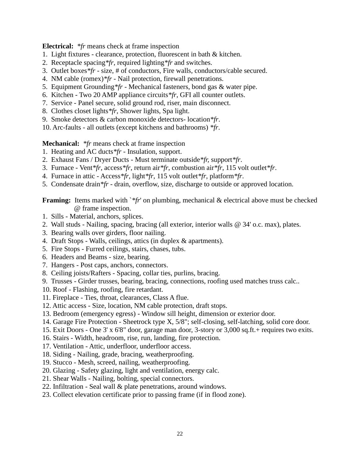**Electrical:** *\*fr* means check at frame inspection

- 1. Light fixtures clearance, protection, fluorescent in bath & kitchen.
- 2. Receptacle spacing*\*fr*, required lighting*\*fr* and switches.
- 3. Outlet boxes*\*fr* size, # of conductors, Fire walls, conductors/cable secured.
- 4. NM cable (romex)*\*fr* Nail protection, firewall penetrations.
- 5. Equipment Grounding*\*fr* Mechanical fasteners, bond gas & water pipe.
- 6. Kitchen Two 20 AMP appliance circuits*\*fr*, GFI all counter outlets.
- 7. Service Panel secure, solid ground rod, riser, main disconnect.
- 8. Clothes closet lights*\*fr*, Shower lights, Spa light.
- 9. Smoke detectors & carbon monoxide detectors- location*\*fr*.

10. Arc-faults - all outlets (except kitchens and bathrooms) *\*fr*.

**Mechanical:** *\*fr* means check at frame inspection

- 1. Heating and AC ducts*\*fr* Insulation, support.
- 2. Exhaust Fans / Dryer Ducts Must terminate outside*\*fr,* support*\*fr*.
- 3. Furnace Vent*\*fr*, access*\*fr*, return air*\*fr*, combustion air*\*fr*, 115 volt outlet*\*fr*.
- 4. Furnace in attic Access*\*fr*, light*\*fr*, 115 volt outlet*\*fr*, platform*\*fr*.
- 5. Condensate drain*\*fr* drain, overflow, size, discharge to outside or approved location.

**Framing:** Items marked with `\*fr' on plumbing, mechanical & electrical above must be checked @ frame inspection.

- 1. Sills Material, anchors, splices.
- 2. Wall studs Nailing, spacing, bracing (all exterior, interior walls @ 34' o.c. max), plates.
- 3. Bearing walls over girders, floor nailing.
- 4. Draft Stops Walls, ceilings, attics (in duplex & apartments).
- 5. Fire Stops Furred ceilings, stairs, chases, tubs.
- 6. Headers and Beams size, bearing.
- 7. Hangers Post caps, anchors, connectors.
- 8. Ceiling joists/Rafters Spacing, collar ties, purlins, bracing.
- 9. Trusses Girder trusses, bearing, bracing, connections, roofing used matches truss calc..
- 10. Roof Flashing, roofing, fire retardant.
- 11. Fireplace Ties, throat, clearances, Class A flue.
- 12. Attic access Size, location, NM cable protection, draft stops.
- 13. Bedroom (emergency egress) Window sill height, dimension or exterior door.
- 14. Garage Fire Protection Sheetrock type X, 5/8"; self-closing, self-latching, solid core door.
- 15. Exit Doors One 3' x 6'8" door, garage man door, 3-story or 3,000 sq.ft.+ requires two exits.
- 16. Stairs Width, headroom, rise, run, landing, fire protection.
- 17. Ventilation Attic, underfloor, underfloor access.
- 18. Siding Nailing, grade, bracing, weatherproofing.
- 19. Stucco Mesh, screed, nailing, weatherproofing.
- 20. Glazing Safety glazing, light and ventilation, energy calc.
- 21. Shear Walls Nailing, bolting, special connectors.
- 22. Infiltration Seal wall & plate penetrations, around windows.
- 23. Collect elevation certificate prior to passing frame (if in flood zone).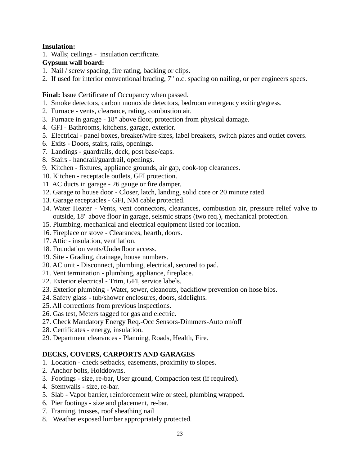#### **Insulation:**

1. Walls; ceilings - insulation certificate.

#### **Gypsum wall board:**

- 1. Nail / screw spacing, fire rating, backing or clips.
- 2. If used for interior conventional bracing, 7" o.c. spacing on nailing, or per engineers specs.

Final: Issue Certificate of Occupancy when passed.

- 1. Smoke detectors, carbon monoxide detectors, bedroom emergency exiting/egress.
- 2. Furnace vents, clearance, rating, combustion air.
- 3. Furnace in garage 18" above floor, protection from physical damage.
- 4. GFI Bathrooms, kitchens, garage, exterior.
- 5. Electrical panel boxes, breaker/wire sizes, label breakers, switch plates and outlet covers.
- 6. Exits Doors, stairs, rails, openings.
- 7. Landings guardrails, deck, post base/caps.
- 8. Stairs handrail/guardrail, openings.
- 9. Kitchen fixtures, appliance grounds, air gap, cook-top clearances.
- 10. Kitchen receptacle outlets, GFI protection.
- 11. AC ducts in garage 26 gauge or fire damper.
- 12. Garage to house door Closer, latch, landing, solid core or 20 minute rated.
- 13. Garage receptacles GFI, NM cable protected.
- 14. Water Heater Vents, vent connectors, clearances, combustion air, pressure relief valve to outside, 18" above floor in garage, seismic straps (two req.), mechanical protection.
- 15. Plumbing, mechanical and electrical equipment listed for location.
- 16. Fireplace or stove Clearances, hearth, doors.
- 17. Attic insulation, ventilation.
- 18. Foundation vents/Underfloor access.
- 19. Site Grading, drainage, house numbers.
- 20. AC unit Disconnect, plumbing, electrical, secured to pad.
- 21. Vent termination plumbing, appliance, fireplace.
- 22. Exterior electrical Trim, GFI, service labels.
- 23. Exterior plumbing Water, sewer, cleanouts, backflow prevention on hose bibs.
- 24. Safety glass tub/shower enclosures, doors, sidelights.
- 25. All corrections from previous inspections.
- 26. Gas test, Meters tagged for gas and electric.
- 27. Check Mandatory Energy Req.-Occ Sensors-Dimmers-Auto on/off
- 28. Certificates energy, insulation.
- 29. Department clearances Planning, Roads, Health, Fire.

#### **DECKS, COVERS, CARPORTS AND GARAGES**

- 1. Location check setbacks, easements, proximity to slopes.
- 2. Anchor bolts, Holddowns.
- 3. Footings size, re-bar, User ground, Compaction test (if required).
- 4. Stemwalls size, re-bar.
- 5. Slab Vapor barrier, reinforcement wire or steel, plumbing wrapped.
- 6. Pier footings size and placement, re-bar.
- 7. Framing, trusses, roof sheathing nail
- 8. Weather exposed lumber appropriately protected.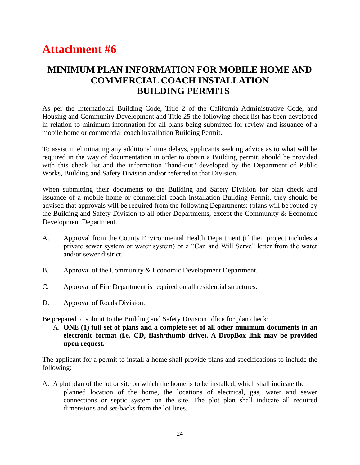## **MINIMUM PLAN INFORMATION FOR MOBILE HOME AND COMMERCIAL COACH INSTALLATION BUILDING PERMITS**

As per the International Building Code, Title 2 of the California Administrative Code, and Housing and Community Development and Title 25 the following check list has been developed in relation to minimum information for all plans being submitted for review and issuance of a mobile home or commercial coach installation Building Permit.

To assist in eliminating any additional time delays, applicants seeking advice as to what will be required in the way of documentation in order to obtain a Building permit, should be provided with this check list and the information "hand-out" developed by the Department of Public Works, Building and Safety Division and/or referred to that Division.

When submitting their documents to the Building and Safety Division for plan check and issuance of a mobile home or commercial coach installation Building Permit, they should be advised that approvals will be required from the following Departments: (plans will be routed by the Building and Safety Division to all other Departments, except the Community & Economic Development Department.

- A. Approval from the County Environmental Health Department (if their project includes a private sewer system or water system) or a "Can and Will Serve" letter from the water and/or sewer district.
- B. Approval of the Community & Economic Development Department.
- C. Approval of Fire Department is required on all residential structures.
- D. Approval of Roads Division.

Be prepared to submit to the Building and Safety Division office for plan check:

A. **ONE (1) full set of plans and a complete set of all other minimum documents in an electronic format (i.e. CD, flash/thumb drive). A DropBox link may be provided upon request.**

The applicant for a permit to install a home shall provide plans and specifications to include the following:

A. A plot plan of the lot or site on which the home is to be installed, which shall indicate the planned location of the home, the locations of electrical, gas, water and sewer connections or septic system on the site. The plot plan shall indicate all required dimensions and set-backs from the lot lines.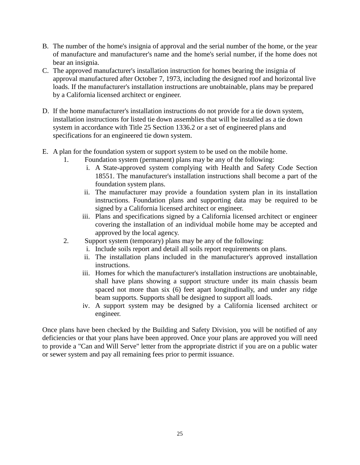- B. The number of the home's insignia of approval and the serial number of the home, or the year of manufacture and manufacturer's name and the home's serial number, if the home does not bear an insignia.
- C. The approved manufacturer's installation instruction for homes bearing the insignia of approval manufactured after October 7, 1973, including the designed roof and horizontal live loads. If the manufacturer's installation instructions are unobtainable, plans may be prepared by a California licensed architect or engineer.
- D. If the home manufacturer's installation instructions do not provide for a tie down system, installation instructions for listed tie down assemblies that will be installed as a tie down system in accordance with Title 25 Section 1336.2 or a set of engineered plans and specifications for an engineered tie down system.
- E. A plan for the foundation system or support system to be used on the mobile home.
	- 1. Foundation system (permanent) plans may be any of the following:
		- i. A State-approved system complying with Health and Safety Code Section 18551. The manufacturer's installation instructions shall become a part of the foundation system plans.
		- ii. The manufacturer may provide a foundation system plan in its installation instructions. Foundation plans and supporting data may be required to be signed by a California licensed architect or engineer.
		- iii. Plans and specifications signed by a California licensed architect or engineer covering the installation of an individual mobile home may be accepted and approved by the local agency.
	- 2. Support system (temporary) plans may be any of the following:
		- i. Include soils report and detail all soils report requirements on plans.
		- ii. The installation plans included in the manufacturer's approved installation instructions.
		- iii. Homes for which the manufacturer's installation instructions are unobtainable, shall have plans showing a support structure under its main chassis beam spaced not more than six (6) feet apart longitudinally, and under any ridge beam supports. Supports shall be designed to support all loads.
		- iv. A support system may be designed by a California licensed architect or engineer.

Once plans have been checked by the Building and Safety Division, you will be notified of any deficiencies or that your plans have been approved. Once your plans are approved you will need to provide a "Can and Will Serve" letter from the appropriate district if you are on a public water or sewer system and pay all remaining fees prior to permit issuance.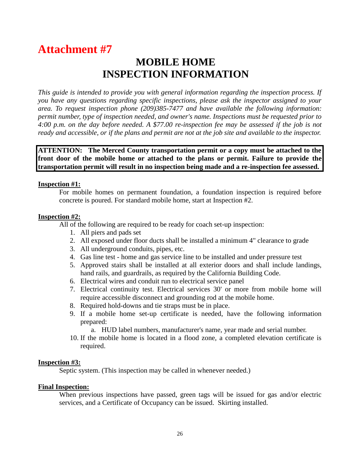## **MOBILE HOME INSPECTION INFORMATION**

*This guide is intended to provide you with general information regarding the inspection process. If you have any questions regarding specific inspections, please ask the inspector assigned to your area. To request inspection phone (209)385-7477 and have available the following information: permit number, type of inspection needed, and owner's name. Inspections must be requested prior to 4:00 p.m. on the day before needed. A \$77.00 re-inspection fee may be assessed if the job is not ready and accessible, or if the plans and permit are not at the job site and available to the inspector.*

**ATTENTION: The Merced County transportation permit or a copy must be attached to the front door of the mobile home or attached to the plans or permit. Failure to provide the transportation permit will result in no inspection being made and a re-inspection fee assessed.**

#### **Inspection #1:**

For mobile homes on permanent foundation, a foundation inspection is required before concrete is poured. For standard mobile home, start at Inspection #2.

#### **Inspection #2:**

All of the following are required to be ready for coach set-up inspection:

- 1. All piers and pads set
- 2. All exposed under floor ducts shall be installed a minimum 4" clearance to grade
- 3. All underground conduits, pipes, etc.
- 4. Gas line test home and gas service line to be installed and under pressure test
- 5. Approved stairs shall be installed at all exterior doors and shall include landings, hand rails, and guardrails, as required by the California Building Code.
- 6. Electrical wires and conduit run to electrical service panel
- 7. Electrical continuity test. Electrical services 30' or more from mobile home will require accessible disconnect and grounding rod at the mobile home.
- 8. Required hold-downs and tie straps must be in place.
- 9. If a mobile home set-up certificate is needed, have the following information prepared:
	- a. HUD label numbers, manufacturer's name, year made and serial number.
- 10. If the mobile home is located in a flood zone, a completed elevation certificate is required.

#### **Inspection #3:**

Septic system. (This inspection may be called in whenever needed.)

#### **Final Inspection:**

When previous inspections have passed, green tags will be issued for gas and/or electric services, and a Certificate of Occupancy can be issued. Skirting installed.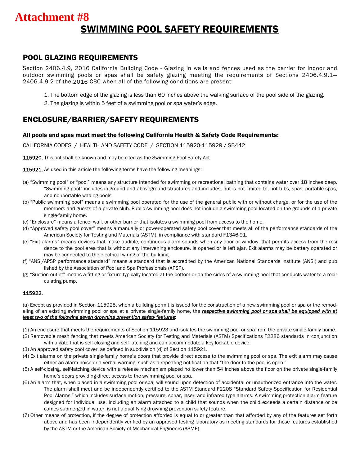## SWIMMING POOL SAFETY REQUIREMENTS **Attachment #8**

### POOL GLAZING REQUIREMENTS

Section 2406.4.9, 2016 California Building Code - Glazing in walls and fences used as the barrier for indoor and outdoor swimming pools or spas shall be safety glazing meeting the requirements of Sections 2406.4.9.1— 2406.4.9.2 of the 2016 CBC when all of the following conditions are present:

- 1. The bottom edge of the glazing is less than 60 inches above the walking surface of the pool side of the glazing.
- 2. The glazing is within 5 feet of a swimming pool or spa water's edge.

### ENCLOSURE/BARRIER/SAFETY REQUIREMENTS *(REVISED 4/30/07)*

#### All pools and spas must meet the following California Health & Safety Code Requirements:

CALIFORNIA CODES / HEALTH AND SAFETY CODE / SECTION 115920-115929 / SB442

115920. This act shall be known and may be cited as the Swimming Pool Safety Act.

**115921.** As used in this article the following terms have the following meanings:

- (a) "Swimming pool" or "pool" means any structure intended for swimming or recreational bathing that contains water over 18 inches deep. "Swimming pool" includes in-ground and aboveground structures and includes, but is not limited to, hot tubs, spas, portable spas, and nonportable wading pools.
- (b) "Public swimming pool" means a swimming pool operated for the use of the general public with or without charge, or for the use of the members and guests of a private club. Public swimming pool does not include a swimming pool located on the grounds of a private single-family home.
- (c) "Enclosure" means a fence, wall, or other barrier that isolates a swimming pool from access to the home.
- (d) "Approved safety pool cover" means a manually or power-operated safety pool cover that meets all of the performance standards of the American Society for Testing and Materials (ASTM), in compliance with standard F1346-91.
- (e) "Exit alarms" means devices that make audible, continuous alarm sounds when any door or window, that permits access from the resi dence to the pool area that is without any intervening enclosure, is opened or is left ajar. Exit alarms may be battery operated or may be connected to the electrical wiring of the building.
- (f) "ANSI/APSP performance standard" means a standard that is accredited by the American National Standards Institute (ANSI) and pub lished by the Association of Pool and Spa Professionals (APSP).
- (g) "Suction outlet" means a fitting or fixture typically located at the bottom or on the sides of a swimming pool that conducts water to a recir culating pump.

#### 115922.

(a) Except as provided in Section 115925, when a building permit is issued for the construction of a new swimming pool or spa or the remodeling of an existing swimming pool or spa at a private single-family home, the *respective swimming pool or spa shall be equipped with at least two of the following seven drowning prevention safety features*:

- (1) An enclosure that meets the requirements of Section 115923 and isolates the swimming pool or spa from the private single-family home.
- (2) Removable mesh fencing that meets American Society for Testing and Materials (ASTM) Specifications F2286 standards in conjunction with a gate that is self-closing and self-latching and can accommodate a key lockable device.
- (3) An approved safety pool cover, as defined in subdivision (d) of Section 115921.
- (4) Exit alarms on the private single-family home's doors that provide direct access to the swimming pool or spa. The exit alarm may cause either an alarm noise or a verbal warning, such as a repeating notification that "the door to the pool is open."
- (5) A self-closing, self-latching device with a release mechanism placed no lower than 54 inches above the floor on the private single-family home's doors providing direct access to the swimming pool or spa.
- (6) An alarm that, when placed in a swimming pool or spa, will sound upon detection of accidental or unauthorized entrance into the water. The alarm shall meet and be independently certified to the ASTM Standard F2208 "Standard Safety Specification for Residential Pool Alarms," which includes surface motion, pressure, sonar, laser, and infrared type alarms. A swimming protection alarm feature designed for individual use, including an alarm attached to a child that sounds when the child exceeds a certain distance or be comes submerged in water, is not a qualifying drowning prevention safety feature.
- (7) Other means of protection, if the degree of protection afforded is equal to or greater than that afforded by any of the features set forth above and has been independently verified by an approved testing laboratory as meeting standards for those features established by the ASTM or the American Society of Mechanical Engineers (ASME).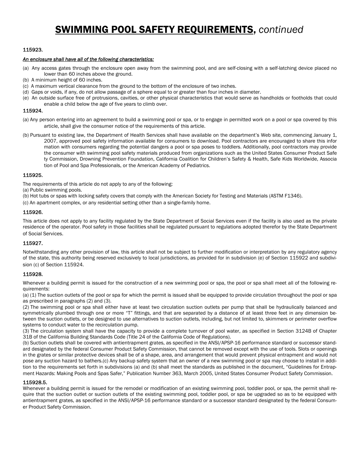## SWIMMING POOL SAFETY REQUIREMENTS, *continued*

#### 115923.

#### *An enclosure shall have all of the following characteristics:*

- (a) Any access gates through the enclosure open away from the swimming pool, and are self-closing with a self-latching device placed no lower than 60 inches above the ground.
- (b) A minimum height of 60 inches.
- (c) A maximum vertical clearance from the ground to the bottom of the enclosure of two inches.
- (d) Gaps or voids, if any, do not allow passage of a sphere equal to or greater than four inches in diameter.
- (e) An outside surface free of protrusions, cavities, or other physical characteristics that would serve as handholds or footholds that could enable a child below the age of five years to climb over.

#### 115924.

- (a) Any person entering into an agreement to build a swimming pool or spa, or to engage in permitted work on a pool or spa covered by this article, shall give the consumer notice of the requirements of this article.
- (b) Pursuant to existing law, the Department of Health Services shall have available on the department's Web site, commencing January 1, 2007, approved pool safety information available for consumers to download. Pool contractors are encouraged to share this infor mation with consumers regarding the potential dangers a pool or spa poses to toddlers. Additionally, pool contractors may provide the consumer with swimming pool safety materials produced from organizations such as the United States Consumer Product Safe ty Commission, Drowning Prevention Foundation, California Coalition for Children's Safety & Health, Safe Kids Worldwide, Associa tion of Pool and Spa Professionals, or the American Academy of Pediatrics.

#### 115925.

The requirements of this article do not apply to any of the following:

- (a) Public swimming pools.
- (b) Hot tubs or spas with locking safety covers that comply with the American Society for Testing and Materials (ASTM F1346).
- (c) An apartment complex, or any residential setting other than a single-family home.

#### 115926.

This article does not apply to any facility regulated by the State Department of Social Services even if the facility is also used as the private residence of the operator. Pool safety in those facilities shall be regulated pursuant to regulations adopted therefor by the State Department of Social Services.

#### 115927.

Notwithstanding any other provision of law, this article shall not be subject to further modification or interpretation by any regulatory agency of the state, this authority being reserved exclusively to local jurisdictions, as provided for in subdivision (e) of Section 115922 and subdivision (c) of Section 115924.

#### 115928.

Whenever a building permit is issued for the construction of a new swimming pool or spa, the pool or spa shall meet all of the following requirements:

(a) (1) The suction outlets of the pool or spa for which the permit is issued shall be equipped to provide circulation throughout the pool or spa as prescribed in paragraphs (2) and (3).

(2) The swimming pool or spa shall either have at least two circulation suction outlets per pump that shall be hydraulically balanced and symmetrically plumbed through one or more "T" fittings, and that are separated by a distance of at least three feet in any dimension between the suction outlets, or be designed to use alternatives to suction outlets, including, but not limited to, skimmers or perimeter overflow systems to conduct water to the recirculation pump.

(3) The circulation system shall have the capacity to provide a complete turnover of pool water, as specified in Section 3124B of Chapter 31B of the California Building Standards Code (Title 24 of the California Code of Regulations).

(b) Suction outlets shall be covered with antientrapment grates, as specified in the ANSI/APSP-16 performance standard or successor standard designated by the federal Consumer Product Safety Commission, that cannot be removed except with the use of tools. Slots or openings in the grates or similar protective devices shall be of a shape, area, and arrangement that would prevent physical entrapment and would not pose any suction hazard to bathers.(c) Any backup safety system that an owner of a new swimming pool or spa may choose to install in addition to the requirements set forth in subdivisions (a) and (b) shall meet the standards as published in the document, "Guidelines for Entrapment Hazards: Making Pools and Spas Safer," Publication Number 363, March 2005, United States Consumer Product Safety Commission.

#### 115928.5.

Whenever a building permit is issued for the remodel or modification of an existing swimming pool, toddler pool, or spa, the permit shall require that the suction outlet or suction outlets of the existing swimming pool, toddler pool, or spa be upgraded so as to be equipped with antientrapment grates, as specified in the ANSI/APSP-16 performance standard or a successor standard designated by the federal Consumer Product Safety Commission.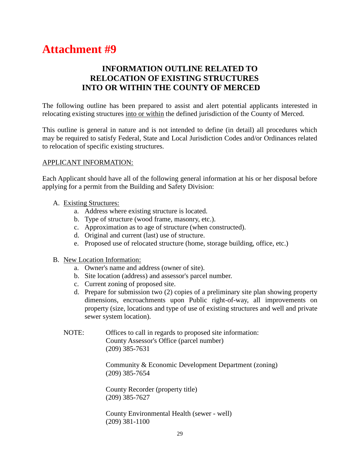### **INFORMATION OUTLINE RELATED TO RELOCATION OF EXISTING STRUCTURES INTO OR WITHIN THE COUNTY OF MERCED**

The following outline has been prepared to assist and alert potential applicants interested in relocating existing structures into or within the defined jurisdiction of the County of Merced.

This outline is general in nature and is not intended to define (in detail) all procedures which may be required to satisfy Federal, State and Local Jurisdiction Codes and/or Ordinances related to relocation of specific existing structures.

#### APPLICANT INFORMATION:

Each Applicant should have all of the following general information at his or her disposal before applying for a permit from the Building and Safety Division:

- A. Existing Structures:
	- a. Address where existing structure is located.
	- b. Type of structure (wood frame, masonry, etc.).
	- c. Approximation as to age of structure (when constructed).
	- d. Original and current (last) use of structure.
	- e. Proposed use of relocated structure (home, storage building, office, etc.)
- B. New Location Information:
	- a. Owner's name and address (owner of site).
	- b. Site location (address) and assessor's parcel number.
	- c. Current zoning of proposed site.
	- d. Prepare for submission two (2) copies of a preliminary site plan showing property dimensions, encroachments upon Public right-of-way, all improvements on property (size, locations and type of use of existing structures and well and private sewer system location).
	- NOTE: Offices to call in regards to proposed site information: County Assessor's Office (parcel number) (209) 385-7631

Community & Economic Development Department (zoning) (209) 385-7654

County Recorder (property title) (209) 385-7627

County Environmental Health (sewer - well) (209) 381-1100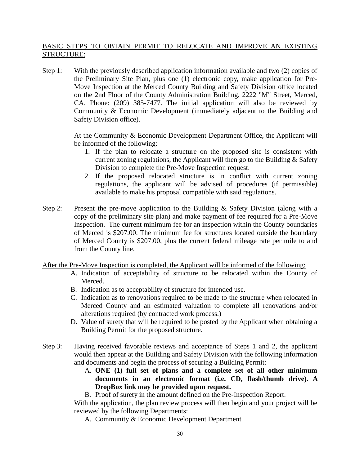#### BASIC STEPS TO OBTAIN PERMIT TO RELOCATE AND IMPROVE AN EXISTING STRUCTURE:

Step 1: With the previously described application information available and two (2) copies of the Preliminary Site Plan, plus one (1) electronic copy, make application for Pre-Move Inspection at the Merced County Building and Safety Division office located on the 2nd Floor of the County Administration Building, 2222 "M" Street, Merced, CA. Phone: (209) 385-7477. The initial application will also be reviewed by Community & Economic Development (immediately adjacent to the Building and Safety Division office).

> At the Community & Economic Development Department Office, the Applicant will be informed of the following:

- 1. If the plan to relocate a structure on the proposed site is consistent with current zoning regulations, the Applicant will then go to the Building & Safety Division to complete the Pre-Move Inspection request.
- 2. If the proposed relocated structure is in conflict with current zoning regulations, the applicant will be advised of procedures (if permissible) available to make his proposal compatible with said regulations.
- Step 2: Present the pre-move application to the Building & Safety Division (along with a copy of the preliminary site plan) and make payment of fee required for a Pre-Move Inspection. The current minimum fee for an inspection within the County boundaries of Merced is \$207.00. The minimum fee for structures located outside the boundary of Merced County is \$207.00, plus the current federal mileage rate per mile to and from the County line.

After the Pre-Move Inspection is completed, the Applicant will be informed of the following:

- A. Indication of acceptability of structure to be relocated within the County of Merced.
- B. Indication as to acceptability of structure for intended use.
- C. Indication as to renovations required to be made to the structure when relocated in Merced County and an estimated valuation to complete all renovations and/or alterations required (by contracted work process.)
- D. Value of surety that will be required to be posted by the Applicant when obtaining a Building Permit for the proposed structure.
- Step 3: Having received favorable reviews and acceptance of Steps 1 and 2, the applicant would then appear at the Building and Safety Division with the following information and documents and begin the process of securing a Building Permit:
	- A. **ONE (1) full set of plans and a complete set of all other minimum documents in an electronic format (i.e. CD, flash/thumb drive). A DropBox link may be provided upon request.**

B. Proof of surety in the amount defined on the Pre-Inspection Report.

With the application, the plan review process will then begin and your project will be reviewed by the following Departments:

A. Community & Economic Development Department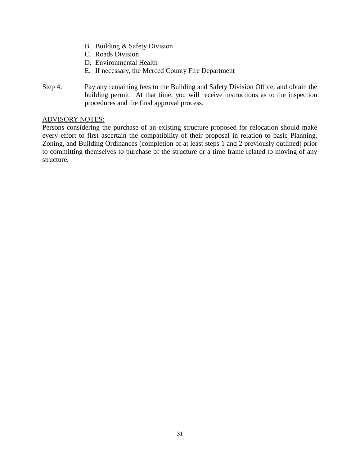- B. Building & Safety Division
- C. Roads Division
- D. Environmental Health
- E. If necessary, the Merced County Fire Department
- Step 4: Pay any remaining fees to the Building and Safety Division Office, and obtain the building permit. At that time, you will receive instructions as to the inspection procedures and the final approval process.

#### ADVISORY NOTES:

Persons considering the purchase of an existing structure proposed for relocation should make every effort to first ascertain the compatibility of their proposal in relation to basic Planning, Zoning, and Building Ordinances (completion of at least steps 1 and 2 previously outlined) prior to committing themselves to purchase of the structure or a time frame related to moving of any structure.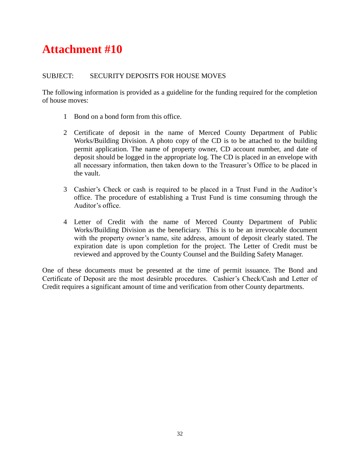#### SUBJECT: SECURITY DEPOSITS FOR HOUSE MOVES

The following information is provided as a guideline for the funding required for the completion of house moves:

- 1 Bond on a bond form from this office.
- 2 Certificate of deposit in the name of Merced County Department of Public Works/Building Division. A photo copy of the CD is to be attached to the building permit application. The name of property owner, CD account number, and date of deposit should be logged in the appropriate log. The CD is placed in an envelope with all necessary information, then taken down to the Treasurer's Office to be placed in the vault.
- 3 Cashier's Check or cash is required to be placed in a Trust Fund in the Auditor's office. The procedure of establishing a Trust Fund is time consuming through the Auditor's office.
- 4 Letter of Credit with the name of Merced County Department of Public Works/Building Division as the beneficiary. This is to be an irrevocable document with the property owner's name, site address, amount of deposit clearly stated. The expiration date is upon completion for the project. The Letter of Credit must be reviewed and approved by the County Counsel and the Building Safety Manager.

One of these documents must be presented at the time of permit issuance. The Bond and Certificate of Deposit are the most desirable procedures. Cashier's Check/Cash and Letter of Credit requires a significant amount of time and verification from other County departments.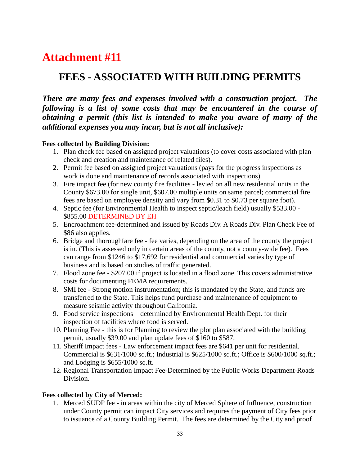## **FEES - ASSOCIATED WITH BUILDING PERMITS**

*There are many fees and expenses involved with a construction project. The following is a list of some costs that may be encountered in the course of obtaining a permit (this list is intended to make you aware of many of the additional expenses you may incur, but is not all inclusive):*

#### **Fees collected by Building Division:**

- 1. Plan check fee based on assigned project valuations (to cover costs associated with plan check and creation and maintenance of related files).
- 2. Permit fee based on assigned project valuations (pays for the progress inspections as work is done and maintenance of records associated with inspections)
- 3. Fire impact fee (for new county fire facilities levied on all new residential units in the County \$673.00 for single unit, \$607.00 multiple units on same parcel; commercial fire fees are based on employee density and vary from \$0.31 to \$0.73 per square foot).
- 4. Septic fee (for Environmental Health to inspect septic/leach field) usually \$533.00 \$855.00 DETERMINED BY EH
- 5. Encroachment fee-determined and issued by Roads Div. A Roads Div. Plan Check Fee of \$86 also applies.
- 6. Bridge and thoroughfare fee fee varies, depending on the area of the county the project is in. (This is assessed only in certain areas of the county, not a county-wide fee). Fees can range from \$1246 to \$17,692 for residential and commercial varies by type of business and is based on studies of traffic generated.
- 7. Flood zone fee \$207.00 if project is located in a flood zone. This covers administrative costs for documenting FEMA requirements.
- 8. SMI fee Strong motion instrumentation; this is mandated by the State, and funds are transferred to the State. This helps fund purchase and maintenance of equipment to measure seismic activity throughout California.
- 9. Food service inspections determined by Environmental Health Dept. for their inspection of facilities where food is served.
- 10. Planning Fee this is for Planning to review the plot plan associated with the building permit, usually \$39.00 and plan update fees of \$160 to \$587.
- 11. Sheriff Impact fees Law enforcement impact fees are \$641 per unit for residential. Commercial is \$631/1000 sq.ft.; Industrial is \$625/1000 sq.ft.; Office is \$600/1000 sq.ft.; and Lodging is \$655/1000 sq.ft.
- 12. Regional Transportation Impact Fee-Determined by the Public Works Department-Roads Division.

#### **Fees collected by City of Merced:**

1. Merced SUDP fee - in areas within the city of Merced Sphere of Influence, construction under County permit can impact City services and requires the payment of City fees prior to issuance of a County Building Permit. The fees are determined by the City and proof